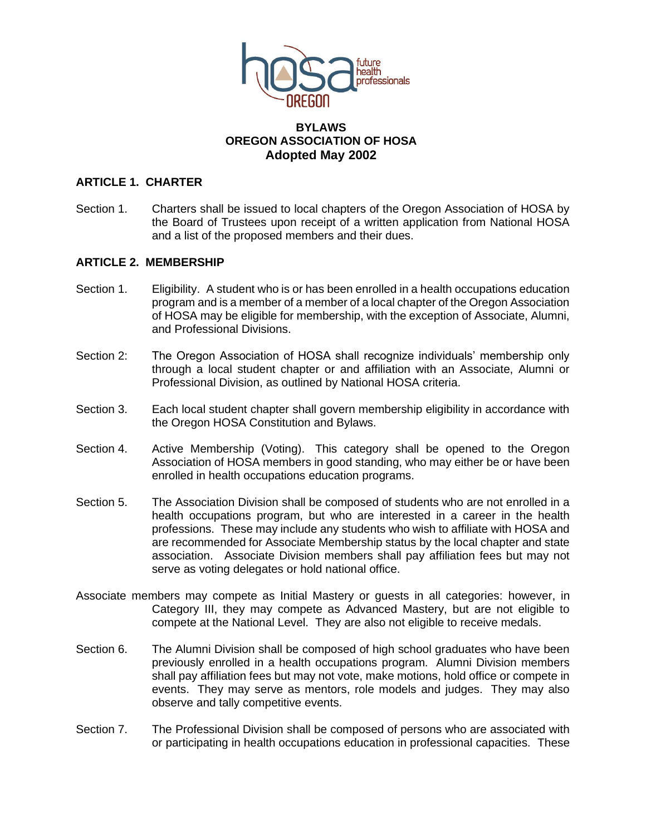

### **BYLAWS OREGON ASSOCIATION OF HOSA Adopted May 2002**

## **ARTICLE 1. CHARTER**

Section 1. Charters shall be issued to local chapters of the Oregon Association of HOSA by the Board of Trustees upon receipt of a written application from National HOSA and a list of the proposed members and their dues.

#### **ARTICLE 2. MEMBERSHIP**

- Section 1. Eligibility. A student who is or has been enrolled in a health occupations education program and is a member of a member of a local chapter of the Oregon Association of HOSA may be eligible for membership, with the exception of Associate, Alumni, and Professional Divisions.
- Section 2: The Oregon Association of HOSA shall recognize individuals' membership only through a local student chapter or and affiliation with an Associate, Alumni or Professional Division, as outlined by National HOSA criteria.
- Section 3. Each local student chapter shall govern membership eligibility in accordance with the Oregon HOSA Constitution and Bylaws.
- Section 4. Active Membership (Voting). This category shall be opened to the Oregon Association of HOSA members in good standing, who may either be or have been enrolled in health occupations education programs.
- Section 5. The Association Division shall be composed of students who are not enrolled in a health occupations program, but who are interested in a career in the health professions. These may include any students who wish to affiliate with HOSA and are recommended for Associate Membership status by the local chapter and state association. Associate Division members shall pay affiliation fees but may not serve as voting delegates or hold national office.
- Associate members may compete as Initial Mastery or guests in all categories: however, in Category III, they may compete as Advanced Mastery, but are not eligible to compete at the National Level. They are also not eligible to receive medals.
- Section 6. The Alumni Division shall be composed of high school graduates who have been previously enrolled in a health occupations program. Alumni Division members shall pay affiliation fees but may not vote, make motions, hold office or compete in events. They may serve as mentors, role models and judges. They may also observe and tally competitive events.
- Section 7. The Professional Division shall be composed of persons who are associated with or participating in health occupations education in professional capacities. These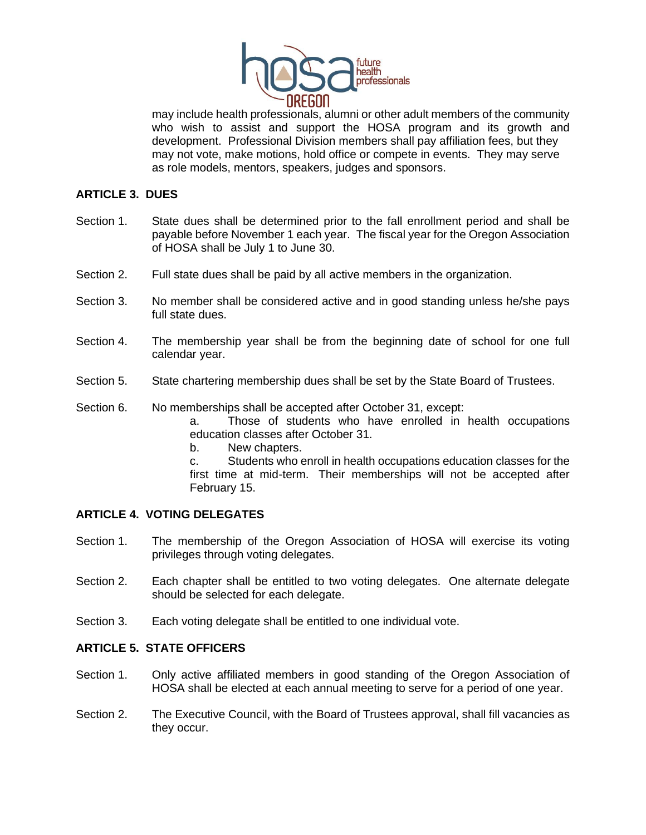

may include health professionals, alumni or other adult members of the community who wish to assist and support the HOSA program and its growth and development. Professional Division members shall pay affiliation fees, but they may not vote, make motions, hold office or compete in events. They may serve as role models, mentors, speakers, judges and sponsors.

## **ARTICLE 3. DUES**

- Section 1. State dues shall be determined prior to the fall enrollment period and shall be payable before November 1 each year. The fiscal year for the Oregon Association of HOSA shall be July 1 to June 30.
- Section 2. Full state dues shall be paid by all active members in the organization.
- Section 3. No member shall be considered active and in good standing unless he/she pays full state dues.
- Section 4. The membership year shall be from the beginning date of school for one full calendar year.
- Section 5. State chartering membership dues shall be set by the State Board of Trustees.
- Section 6. No memberships shall be accepted after October 31, except:

a. Those of students who have enrolled in health occupations education classes after October 31.

b. New chapters.

c. Students who enroll in health occupations education classes for the first time at mid-term. Their memberships will not be accepted after February 15.

## **ARTICLE 4. VOTING DELEGATES**

- Section 1. The membership of the Oregon Association of HOSA will exercise its voting privileges through voting delegates.
- Section 2. Each chapter shall be entitled to two voting delegates. One alternate delegate should be selected for each delegate.
- Section 3. Each voting delegate shall be entitled to one individual vote.

### **ARTICLE 5. STATE OFFICERS**

- Section 1. Only active affiliated members in good standing of the Oregon Association of HOSA shall be elected at each annual meeting to serve for a period of one year.
- Section 2. The Executive Council, with the Board of Trustees approval, shall fill vacancies as they occur.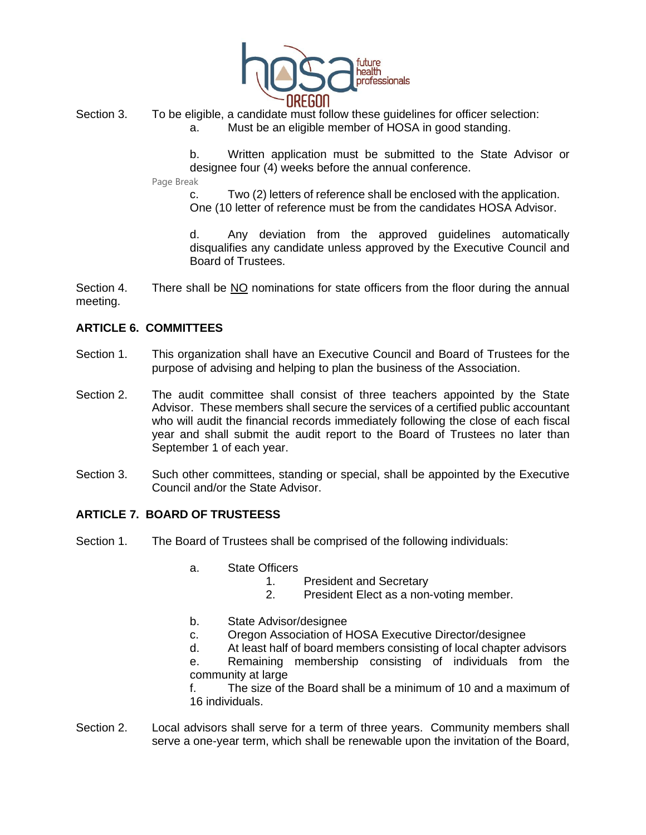

Section 3. To be eligible, a candidate must follow these guidelines for officer selection: a. Must be an eligible member of HOSA in good standing.

> b. Written application must be submitted to the State Advisor or designee four (4) weeks before the annual conference.

Page Break

c. Two (2) letters of reference shall be enclosed with the application. One (10 letter of reference must be from the candidates HOSA Advisor.

d. Any deviation from the approved guidelines automatically disqualifies any candidate unless approved by the Executive Council and Board of Trustees.

Section 4. There shall be  $NQ$  nominations for state officers from the floor during the annual meeting.

# **ARTICLE 6. COMMITTEES**

- Section 1. This organization shall have an Executive Council and Board of Trustees for the purpose of advising and helping to plan the business of the Association.
- Section 2. The audit committee shall consist of three teachers appointed by the State Advisor. These members shall secure the services of a certified public accountant who will audit the financial records immediately following the close of each fiscal year and shall submit the audit report to the Board of Trustees no later than September 1 of each year.
- Section 3. Such other committees, standing or special, shall be appointed by the Executive Council and/or the State Advisor.

## **ARTICLE 7. BOARD OF TRUSTEESS**

- Section 1. The Board of Trustees shall be comprised of the following individuals:
	- a. State Officers
		- 1. President and Secretary
		- 2. President Elect as a non-voting member.
	- b. State Advisor/designee
	- c. Oregon Association of HOSA Executive Director/designee
	- d. At least half of board members consisting of local chapter advisors

e. Remaining membership consisting of individuals from the community at large

f. The size of the Board shall be a minimum of 10 and a maximum of 16 individuals.

Section 2. Local advisors shall serve for a term of three years. Community members shall serve a one-year term, which shall be renewable upon the invitation of the Board,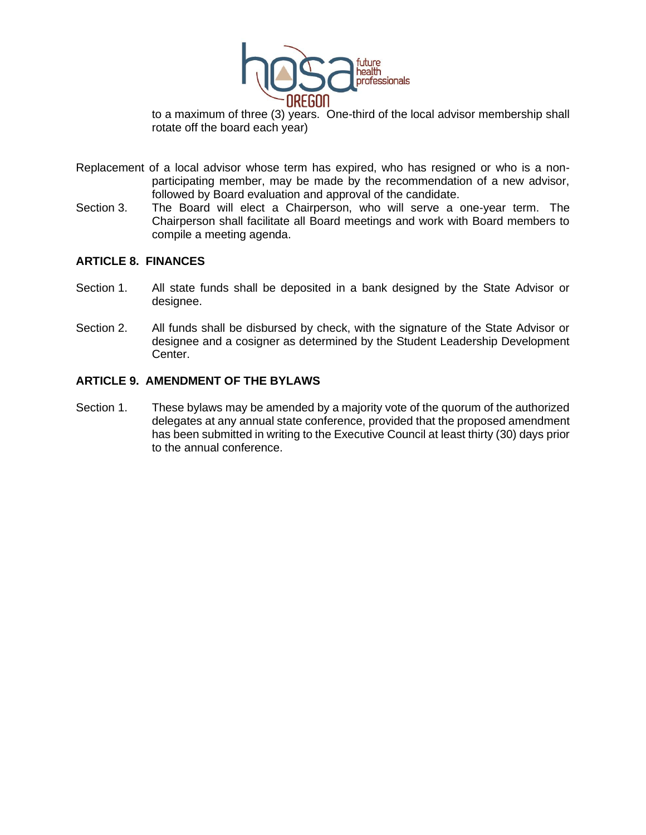

to a maximum of three (3) years. One-third of the local advisor membership shall rotate off the board each year)

- Replacement of a local advisor whose term has expired, who has resigned or who is a nonparticipating member, may be made by the recommendation of a new advisor, followed by Board evaluation and approval of the candidate.
- Section 3. The Board will elect a Chairperson, who will serve a one-year term. The Chairperson shall facilitate all Board meetings and work with Board members to compile a meeting agenda.

#### **ARTICLE 8. FINANCES**

- Section 1. All state funds shall be deposited in a bank designed by the State Advisor or designee.
- Section 2. All funds shall be disbursed by check, with the signature of the State Advisor or designee and a cosigner as determined by the Student Leadership Development Center.

#### **ARTICLE 9. AMENDMENT OF THE BYLAWS**

Section 1. These bylaws may be amended by a majority vote of the quorum of the authorized delegates at any annual state conference, provided that the proposed amendment has been submitted in writing to the Executive Council at least thirty (30) days prior to the annual conference.